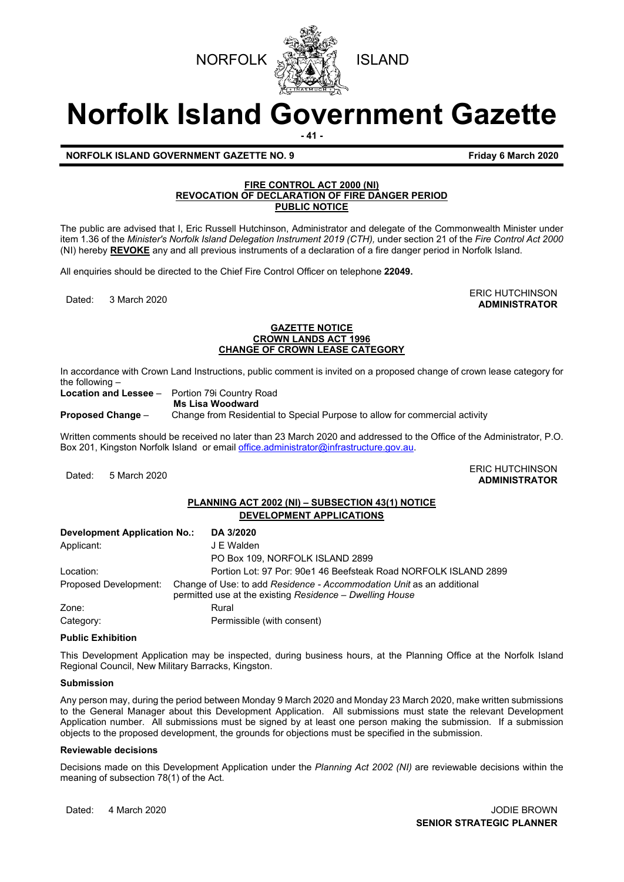



# **Norfolk Island Government Gazette**

**- 41 -**

**NORFOLK ISLAND GOVERNMENT GAZETTE NO. 9 <b>FILM FRIDAY 6 March 2020 F**riday 6 March 2020

# **FIRE CONTROL ACT 2000 (NI) REVOCATION OF DECLARATION OF FIRE DANGER PERIOD PUBLIC NOTICE**

The public are advised that I, Eric Russell Hutchinson, Administrator and delegate of the Commonwealth Minister under item 1.36 of the *Minister's Norfolk Island Delegation Instrument 2019 (CTH),* under section 21 of the *Fire Control Act 2000* (NI) hereby **REVOKE** any and all previous instruments of a declaration of a fire danger period in Norfolk Island.

All enquiries should be directed to the Chief Fire Control Officer on telephone **22049.**

ERIC HUTCHINSON يستعد المستقلة المستقلة المستقلة التي تعليم المستقلة المستقلة التي تعليم المستقلة التي تعليم ا<br>Anninistrator **ADMINISTRATOR**

#### **GAZETTE NOTICE CROWN LANDS ACT 1996 CHANGE OF CROWN LEASE CATEGORY**

In accordance with Crown Land Instructions, public comment is invited on a proposed change of crown lease category for the following –<br>Location and Lessee –

**Portion 79i Country Road** 

**Ms Lisa Woodward**

**Proposed Change** – Change from Residential to Special Purpose to allow for commercial activity

Written comments should be received no later than 23 March 2020 and addressed to the Office of the Administrator, P.O. Box 201, Kingston Norfolk Island or emai[l office.administrator@infrastructure.gov.au.](mailto:office.administrator@infrastructure.gov.au)

Dated: 5 March 2020<br>Dated: 5 March 2020 **ADMINISTRATOR**

# **PLANNING ACT 2002 (NI) – SUBSECTION 43(1) NOTICE DEVELOPMENT APPLICATIONS**

| Development Application No.: | DA 3/2020                                                                                                                         |  |
|------------------------------|-----------------------------------------------------------------------------------------------------------------------------------|--|
| Applicant:                   | J E Walden                                                                                                                        |  |
|                              | PO Box 109, NORFOLK ISLAND 2899                                                                                                   |  |
| Location:                    | Portion Lot: 97 Por: 90e1 46 Beefsteak Road NORFOLK ISLAND 2899                                                                   |  |
| Proposed Development:        | Change of Use: to add Residence - Accommodation Unit as an additional<br>permitted use at the existing Residence - Dwelling House |  |
| Zone:                        | Rural                                                                                                                             |  |
| Category:                    | Permissible (with consent)                                                                                                        |  |

#### **Public Exhibition**

This Development Application may be inspected, during business hours, at the Planning Office at the Norfolk Island Regional Council, New Military Barracks, Kingston.

## **Submission**

Any person may, during the period between Monday 9 March 2020 and Monday 23 March 2020, make written submissions to the General Manager about this Development Application. All submissions must state the relevant Development Application number. All submissions must be signed by at least one person making the submission. If a submission objects to the proposed development, the grounds for objections must be specified in the submission.

#### **Reviewable decisions**

Decisions made on this Development Application under the *Planning Act 2002 (NI)* are reviewable decisions within the meaning of subsection 78(1) of the Act.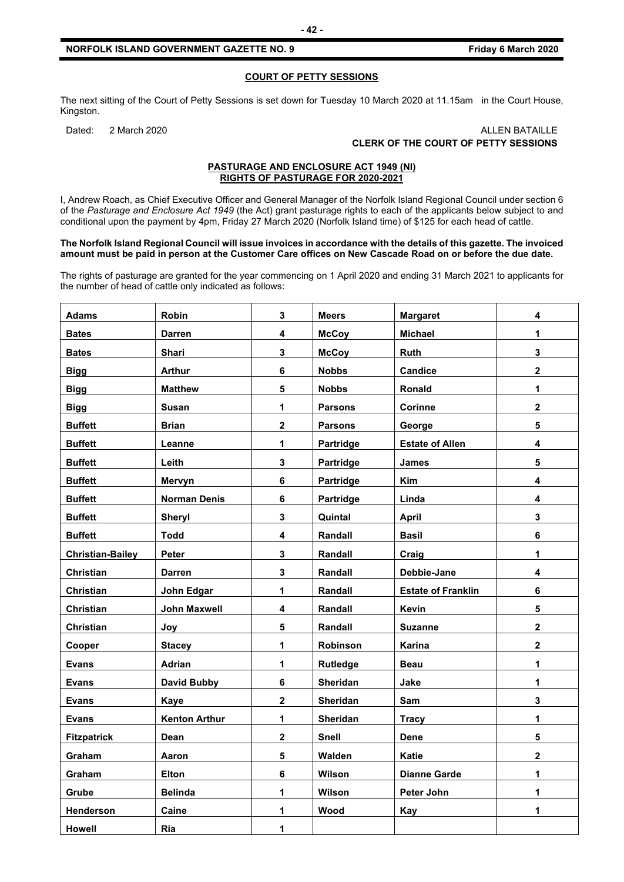**COURT OF PETTY SESSIONS**

The next sitting of the Court of Petty Sessions is set down for Tuesday 10 March 2020 at 11.15am in the Court House, Kingston.

#### Dated: 2 March 2020 20 ALLEN BATAILLE **CLERK OF THE COURT OF PETTY SESSIONS**

#### **PASTURAGE AND ENCLOSURE ACT 1949 (NI) RIGHTS OF PASTURAGE FOR 2020-2021**

I, Andrew Roach, as Chief Executive Officer and General Manager of the Norfolk Island Regional Council under section 6 of the *Pasturage and Enclosure Act 1949* (the Act) grant pasturage rights to each of the applicants below subject to and conditional upon the payment by 4pm, Friday 27 March 2020 (Norfolk Island time) of \$125 for each head of cattle.

#### **The Norfolk Island Regional Council will issue invoices in accordance with the details of this gazette. The invoiced amount must be paid in person at the Customer Care offices on New Cascade Road on or before the due date.**

The rights of pasturage are granted for the year commencing on 1 April 2020 and ending 31 March 2021 to applicants for the number of head of cattle only indicated as follows:

| <b>Adams</b>            | Robin                | $\mathbf{3}$            | <b>Meers</b>   | <b>Margaret</b>           | 4                       |
|-------------------------|----------------------|-------------------------|----------------|---------------------------|-------------------------|
| <b>Bates</b>            | <b>Darren</b>        | $\overline{\mathbf{4}}$ | <b>McCoy</b>   | <b>Michael</b>            | 1                       |
| <b>Bates</b>            | Shari                | 3                       | <b>McCoy</b>   | Ruth                      | 3                       |
| <b>Bigg</b>             | <b>Arthur</b>        | 6                       | <b>Nobbs</b>   | <b>Candice</b>            | $\mathbf{2}$            |
| <b>Bigg</b>             | <b>Matthew</b>       | 5                       | <b>Nobbs</b>   | Ronald                    | 1                       |
| <b>Bigg</b>             | <b>Susan</b>         | 1                       | <b>Parsons</b> | <b>Corinne</b>            | $\overline{\mathbf{2}}$ |
| <b>Buffett</b>          | <b>Brian</b>         | $\mathbf 2$             | <b>Parsons</b> | George                    | 5                       |
| <b>Buffett</b>          | Leanne               | 1                       | Partridge      | <b>Estate of Allen</b>    | 4                       |
| <b>Buffett</b>          | Leith                | $\mathbf{3}$            | Partridge      | <b>James</b>              | 5                       |
| <b>Buffett</b>          | Mervyn               | 6                       | Partridge      | Kim                       | 4                       |
| <b>Buffett</b>          | <b>Norman Denis</b>  | 6                       | Partridge      | Linda                     | 4                       |
| <b>Buffett</b>          | Sheryl               | 3                       | Quintal        | <b>April</b>              | $\overline{\mathbf{3}}$ |
| <b>Buffett</b>          | <b>Todd</b>          | 4                       | Randall        | <b>Basil</b>              | 6                       |
| <b>Christian-Bailey</b> | Peter                | $\mathbf{3}$            | Randall        | Craig                     | 1                       |
| Christian               | <b>Darren</b>        | $\overline{\mathbf{3}}$ | Randall        | Debbie-Jane               | $\overline{\mathbf{4}}$ |
| Christian               | John Edgar           | 1                       | Randall        | <b>Estate of Franklin</b> | 6                       |
| <b>Christian</b>        | <b>John Maxwell</b>  | $\overline{\mathbf{4}}$ | Randall        | Kevin                     | 5                       |
| Christian               | Joy                  | 5                       | Randall        | <b>Suzanne</b>            | $\overline{\mathbf{2}}$ |
| Cooper                  | <b>Stacey</b>        | 1                       | Robinson       | Karina                    | $\overline{2}$          |
| <b>Evans</b>            | <b>Adrian</b>        | 1                       | Rutledge       | <b>Beau</b>               | 1                       |
| <b>Evans</b>            | <b>David Bubby</b>   | 6                       | Sheridan       | Jake                      | 1                       |
| <b>Evans</b>            | <b>Kaye</b>          | $\mathbf 2$             | Sheridan       | Sam                       | $\mathbf{3}$            |
| <b>Evans</b>            | <b>Kenton Arthur</b> | $\mathbf 1$             | Sheridan       | <b>Tracy</b>              | 1                       |
| <b>Fitzpatrick</b>      | Dean                 | $\mathbf 2$             | Snell          | <b>Dene</b>               | 5                       |
| Graham                  | Aaron                | 5                       | Walden         | <b>Katie</b>              | $\overline{\mathbf{2}}$ |
| Graham                  | <b>Elton</b>         | 6                       | Wilson         | <b>Dianne Garde</b>       | 1                       |
| Grube                   | <b>Belinda</b>       | 1                       | Wilson         | Peter John                | $\mathbf 1$             |
| Henderson               | Caine                | 1                       | Wood           | Kay                       | $\mathbf 1$             |
| <b>Howell</b>           | Ria                  | 1                       |                |                           |                         |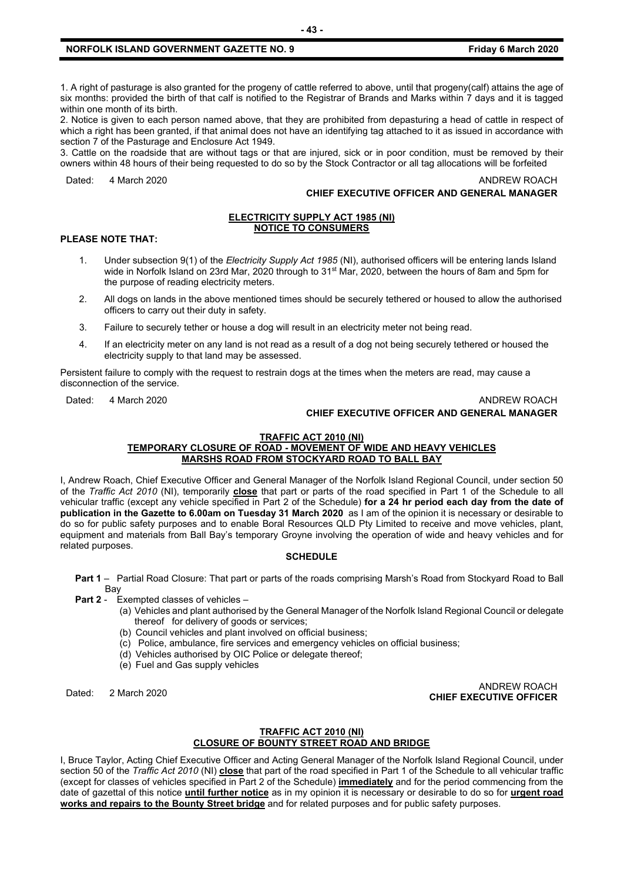1. A right of pasturage is also granted for the progeny of cattle referred to above, until that progeny(calf) attains the age of six months: provided the birth of that calf is notified to the Registrar of Brands and Marks within 7 days and it is tagged within one month of its birth.

2. Notice is given to each person named above, that they are prohibited from depasturing a head of cattle in respect of which a right has been granted, if that animal does not have an identifying tag attached to it as issued in accordance with section 7 of the Pasturage and Enclosure Act 1949.

3. Cattle on the roadside that are without tags or that are injured, sick or in poor condition, must be removed by their owners within 48 hours of their being requested to do so by the Stock Contractor or all tag allocations will be forfeited

Dated: 4 March 2020 **ANDREW ROACH** 

## **CHIEF EXECUTIVE OFFICER AND GENERAL MANAGER**

#### **ELECTRICITY SUPPLY ACT 1985 (NI) NOTICE TO CONSUMERS**

#### **PLEASE NOTE THAT:**

- 1. Under subsection 9(1) of the *Electricity Supply Act 1985* (NI), authorised officers will be entering lands Island wide in Norfolk Island on 23rd Mar, 2020 through to 31<sup>st</sup> Mar, 2020, between the hours of 8am and 5pm for the purpose of reading electricity meters.
- 2. All dogs on lands in the above mentioned times should be securely tethered or housed to allow the authorised officers to carry out their duty in safety.
- 3. Failure to securely tether or house a dog will result in an electricity meter not being read.
- 4. If an electricity meter on any land is not read as a result of a dog not being securely tethered or housed the electricity supply to that land may be assessed.

Persistent failure to comply with the request to restrain dogs at the times when the meters are read, may cause a disconnection of the service.

# Dated: 4 March 2020 ANDREW ROACH

## **CHIEF EXECUTIVE OFFICER AND GENERAL MANAGER**

#### **TRAFFIC ACT 2010 (NI) TEMPORARY CLOSURE OF ROAD - MOVEMENT OF WIDE AND HEAVY VEHICLES MARSHS ROAD FROM STOCKYARD ROAD TO BALL BAY**

I, Andrew Roach, Chief Executive Officer and General Manager of the Norfolk Island Regional Council, under section 50 of the *Traffic Act 2010* (NI), temporarily **close** that part or parts of the road specified in Part 1 of the Schedule to all vehicular traffic (except any vehicle specified in Part 2 of the Schedule) **for a 24 hr period each day from the date of publication in the Gazette to 6.00am on Tuesday 31 March 2020** as I am of the opinion it is necessary or desirable to do so for public safety purposes and to enable Boral Resources QLD Pty Limited to receive and move vehicles, plant, equipment and materials from Ball Bay's temporary Groyne involving the operation of wide and heavy vehicles and for related purposes.

#### **SCHEDULE**

**Part 1** – Partial Road Closure: That part or parts of the roads comprising Marsh's Road from Stockyard Road to Ball Bay

- **Part 2** Exempted classes of vehicles
	- (a) Vehicles and plant authorised by the General Manager of the Norfolk Island Regional Council or delegate thereof for delivery of goods or services;
	- (b) Council vehicles and plant involved on official business;
	- (c) Police, ambulance, fire services and emergency vehicles on official business;
	- (d) Vehicles authorised by OIC Police or delegate thereof;
	- (e) Fuel and Gas supply vehicles

Dated: 2 March 2020 ANDREW ROACH **CHIEF EXECUTIVE OFFICER**

#### **TRAFFIC ACT 2010 (NI) CLOSURE OF BOUNTY STREET ROAD AND BRIDGE**

I, Bruce Taylor, Acting Chief Executive Officer and Acting General Manager of the Norfolk Island Regional Council, under section 50 of the *Traffic Act 2010* (NI) **close** that part of the road specified in Part 1 of the Schedule to all vehicular traffic (except for classes of vehicles specified in Part 2 of the Schedule) **immediately** and for the period commencing from the date of gazettal of this notice **until further notice** as in my opinion it is necessary or desirable to do so for **urgent road works and repairs to the Bounty Street bridge** and for related purposes and for public safety purposes.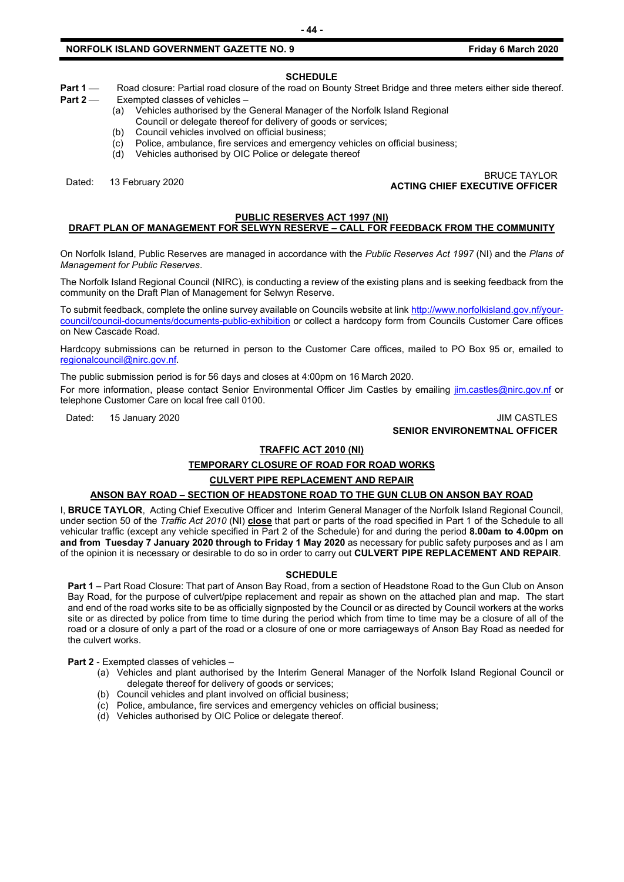# **NORFOLK ISLAND GOVERNMENT GAZETTE NO. 9 <b>FRIDAY 6 FRIDAY 6 MARCH 2020 F**riday 6 March 2020

#### **SCHEDULE**

**Part 1** — Road closure: Partial road closure of the road on Bounty Street Bridge and three meters either side thereof.<br>**Part 2** — Exempted classes of vehicles –

- **Exempted classes of vehicles -**(a) Vehicles authorised by the General Manager of the Norfolk Island Regional
- Council or delegate thereof for delivery of goods or services;
- (b) Council vehicles involved on official business;
- 
- (c) Police, ambulance, fire services and emergency vehicles on official business;<br>(d) Vehicles authorised by OIC Police or delegate thereof
- Vehicles authorised by OIC Police or delegate thereof

# Dated: 13 February 2020 BRUCE TAYLOR **ACTING CHIEF EXECUTIVE OFFICER**

#### **PUBLIC RESERVES ACT 1997 (NI)**

# **DRAFT PLAN OF MANAGEMENT FOR SELWYN RESERVE – CALL FOR FEEDBACK FROM THE COMMUNITY**

On Norfolk Island, Public Reserves are managed in accordance with the *Public Reserves Act 1997* (NI) and the *Plans of Management for Public Reserves*.

The Norfolk Island Regional Council (NIRC), is conducting a review of the existing plans and is seeking feedback from the community on the Draft Plan of Management for Selwyn Reserve.

To submit feedback, complete the online survey available on Councils website at link [http://www.norfolkisland.gov.nf/your](http://www.norfolkisland.gov.nf/your-council/council-documents/documents-public-exhibition)[council/council-documents/documents-public-exhibition](http://www.norfolkisland.gov.nf/your-council/council-documents/documents-public-exhibition) or collect a hardcopy form from Councils Customer Care offices on New Cascade Road.

Hardcopy submissions can be returned in person to the Customer Care offices, mailed to PO Box 95 or, emailed to [regionalcouncil@nirc.gov.nf.](mailto:regionalcouncil@nirc.gov.nf)

The public submission period is for 56 days and closes at 4:00pm on 16 March 2020.

For more information, please contact Senior Environmental Officer Jim Castles by emailing *jim.castles@nirc.gov.nf* or telephone Customer Care on local free call 0100.

Dated: 15 January 2020 JIM CASTLES

**SENIOR ENVIRONEMTNAL OFFICER**

#### **TRAFFIC ACT 2010 (NI)**

# **TEMPORARY CLOSURE OF ROAD FOR ROAD WORKS**

#### **CULVERT PIPE REPLACEMENT AND REPAIR**

#### **ANSON BAY ROAD – SECTION OF HEADSTONE ROAD TO THE GUN CLUB ON ANSON BAY ROAD**

I, **BRUCE TAYLOR**, Acting Chief Executive Officer and Interim General Manager of the Norfolk Island Regional Council, under section 50 of the *Traffic Act 2010* (NI) **close** that part or parts of the road specified in Part 1 of the Schedule to all vehicular traffic (except any vehicle specified in Part 2 of the Schedule) for and during the period **8.00am to 4.00pm on and from Tuesday 7 January 2020 through to Friday 1 May 2020** as necessary for public safety purposes and as I am of the opinion it is necessary or desirable to do so in order to carry out **CULVERT PIPE REPLACEMENT AND REPAIR**.

#### **SCHEDULE**

**Part 1** – Part Road Closure: That part of Anson Bay Road, from a section of Headstone Road to the Gun Club on Anson Bay Road, for the purpose of culvert/pipe replacement and repair as shown on the attached plan and map. The start and end of the road works site to be as officially signposted by the Council or as directed by Council workers at the works site or as directed by police from time to time during the period which from time to time may be a closure of all of the road or a closure of only a part of the road or a closure of one or more carriageways of Anson Bay Road as needed for the culvert works.

**Part 2** - Exempted classes of vehicles –

- (a) Vehicles and plant authorised by the Interim General Manager of the Norfolk Island Regional Council or delegate thereof for delivery of goods or services;
- (b) Council vehicles and plant involved on official business;
- (c) Police, ambulance, fire services and emergency vehicles on official business;
- (d) Vehicles authorised by OIC Police or delegate thereof.